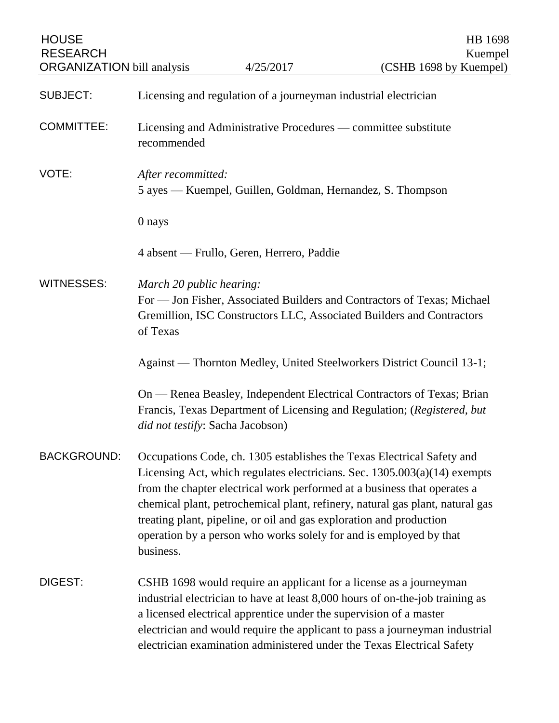| <b>HOUSE</b><br><b>RESEARCH</b><br><b>ORGANIZATION</b> bill analysis |                                                                                                                                                                                          | 4/25/2017                                                                                                                                 | HB 1698<br>Kuempel<br>(CSHB 1698 by Kuempel)                                                                                                                                                                                                                                                                       |  |
|----------------------------------------------------------------------|------------------------------------------------------------------------------------------------------------------------------------------------------------------------------------------|-------------------------------------------------------------------------------------------------------------------------------------------|--------------------------------------------------------------------------------------------------------------------------------------------------------------------------------------------------------------------------------------------------------------------------------------------------------------------|--|
| <b>SUBJECT:</b>                                                      |                                                                                                                                                                                          | Licensing and regulation of a journeyman industrial electrician                                                                           |                                                                                                                                                                                                                                                                                                                    |  |
| <b>COMMITTEE:</b>                                                    | recommended                                                                                                                                                                              | Licensing and Administrative Procedures — committee substitute                                                                            |                                                                                                                                                                                                                                                                                                                    |  |
| VOTE:                                                                | After recommitted:<br>5 ayes — Kuempel, Guillen, Goldman, Hernandez, S. Thompson                                                                                                         |                                                                                                                                           |                                                                                                                                                                                                                                                                                                                    |  |
|                                                                      | 0 nays                                                                                                                                                                                   |                                                                                                                                           |                                                                                                                                                                                                                                                                                                                    |  |
|                                                                      | 4 absent — Frullo, Geren, Herrero, Paddie                                                                                                                                                |                                                                                                                                           |                                                                                                                                                                                                                                                                                                                    |  |
| <b>WITNESSES:</b>                                                    | March 20 public hearing:<br>For — Jon Fisher, Associated Builders and Contractors of Texas; Michael<br>Gremillion, ISC Constructors LLC, Associated Builders and Contractors<br>of Texas |                                                                                                                                           |                                                                                                                                                                                                                                                                                                                    |  |
|                                                                      | Against — Thornton Medley, United Steelworkers District Council 13-1;                                                                                                                    |                                                                                                                                           |                                                                                                                                                                                                                                                                                                                    |  |
|                                                                      | On — Renea Beasley, Independent Electrical Contractors of Texas; Brian<br>Francis, Texas Department of Licensing and Regulation; (Registered, but<br>did not testify: Sacha Jacobson)    |                                                                                                                                           |                                                                                                                                                                                                                                                                                                                    |  |
| <b>BACKGROUND:</b>                                                   | business.                                                                                                                                                                                | treating plant, pipeline, or oil and gas exploration and production<br>operation by a person who works solely for and is employed by that | Occupations Code, ch. 1305 establishes the Texas Electrical Safety and<br>Licensing Act, which regulates electricians. Sec. $1305.003(a)(14)$ exempts<br>from the chapter electrical work performed at a business that operates a<br>chemical plant, petrochemical plant, refinery, natural gas plant, natural gas |  |
| DIGEST:                                                              |                                                                                                                                                                                          | a licensed electrical apprentice under the supervision of a master                                                                        | CSHB 1698 would require an applicant for a license as a journeyman<br>industrial electrician to have at least 8,000 hours of on-the-job training as<br>electrician and would require the applicant to pass a journeyman industrial<br>electrician examination administered under the Texas Electrical Safety       |  |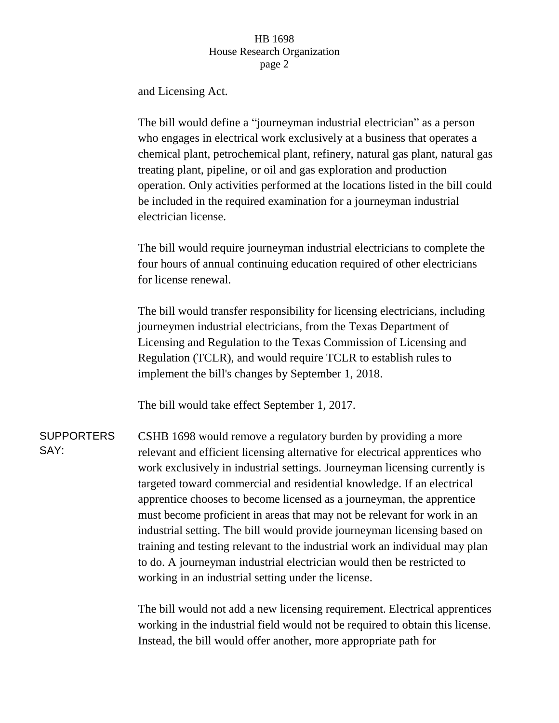## HB 1698 House Research Organization page 2

and Licensing Act.

The bill would define a "journeyman industrial electrician" as a person who engages in electrical work exclusively at a business that operates a chemical plant, petrochemical plant, refinery, natural gas plant, natural gas treating plant, pipeline, or oil and gas exploration and production operation. Only activities performed at the locations listed in the bill could be included in the required examination for a journeyman industrial electrician license.

The bill would require journeyman industrial electricians to complete the four hours of annual continuing education required of other electricians for license renewal.

The bill would transfer responsibility for licensing electricians, including journeymen industrial electricians, from the Texas Department of Licensing and Regulation to the Texas Commission of Licensing and Regulation (TCLR), and would require TCLR to establish rules to implement the bill's changes by September 1, 2018.

The bill would take effect September 1, 2017.

**SUPPORTERS** SAY: CSHB 1698 would remove a regulatory burden by providing a more relevant and efficient licensing alternative for electrical apprentices who work exclusively in industrial settings. Journeyman licensing currently is targeted toward commercial and residential knowledge. If an electrical apprentice chooses to become licensed as a journeyman, the apprentice must become proficient in areas that may not be relevant for work in an industrial setting. The bill would provide journeyman licensing based on training and testing relevant to the industrial work an individual may plan to do. A journeyman industrial electrician would then be restricted to working in an industrial setting under the license.

> The bill would not add a new licensing requirement. Electrical apprentices working in the industrial field would not be required to obtain this license. Instead, the bill would offer another, more appropriate path for